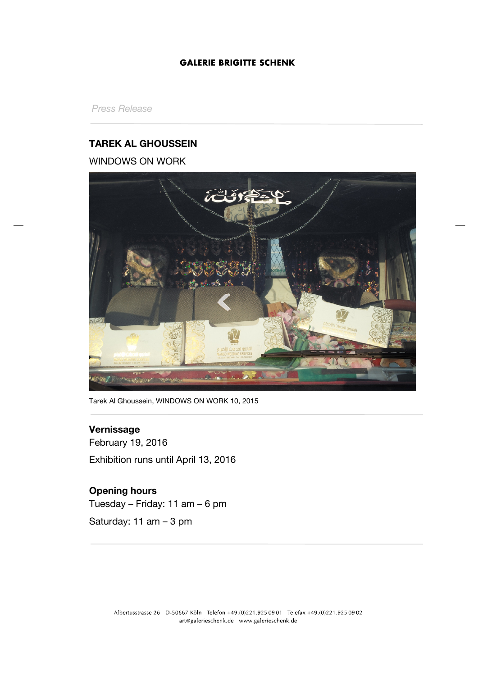# **GALERIE BRIGITTE SCHENK**

*Press Release*

# **TAREK AL GHOUSSEIN**

# WINDOWS ON WORK



Tarek Al Ghoussein, WINDOWS ON WORK 10, 2015

## **Vernissage**

February 19, 2016 Exhibition runs until April 13, 2016

# **Opening hours**

Tuesday – Friday: 11 am – 6 pm

Saturday: 11 am – 3 pm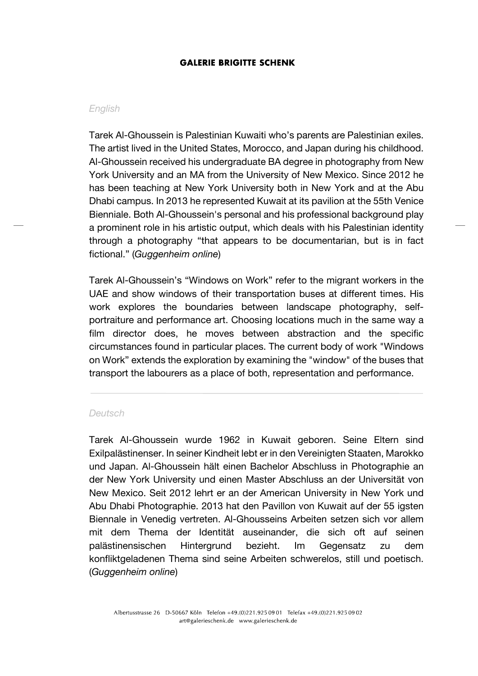### **GALERIE BRIGITTE SCHENK**

#### *English*

Tarek Al-Ghoussein is Palestinian Kuwaiti who's parents are Palestinian exiles. The artist lived in the United States, Morocco, and Japan during his childhood. Al-Ghoussein received his undergraduate BA degree in photography from New York University and an MA from the University of New Mexico. Since 2012 he has been teaching at New York University both in New York and at the Abu Dhabi campus. In 2013 he represented Kuwait at its pavilion at the 55th Venice Bienniale. Both Al-Ghoussein's personal and his professional background play a prominent role in his artistic output, which deals with his Palestinian identity through a photography "that appears to be documentarian, but is in fact fictional." (*Guggenheim online*)

Tarek Al-Ghoussein's "Windows on Work" refer to the migrant workers in the UAE and show windows of their transportation buses at different times. His work explores the boundaries between landscape photography, selfportraiture and performance art. Choosing locations much in the same way a film director does, he moves between abstraction and the specific circumstances found in particular places. The current body of work "Windows on Work" extends the exploration by examining the "window" of the buses that transport the labourers as a place of both, representation and performance.

#### *Deutsch*

Tarek Al-Ghoussein wurde 1962 in Kuwait geboren. Seine Eltern sind Exilpalästinenser. In seiner Kindheit lebt er in den Vereinigten Staaten, Marokko und Japan. Al-Ghoussein hält einen Bachelor Abschluss in Photographie an der New York University und einen Master Abschluss an der Universität von New Mexico. Seit 2012 lehrt er an der American University in New York und Abu Dhabi Photographie. 2013 hat den Pavillon von Kuwait auf der 55 igsten Biennale in Venedig vertreten. Al-Ghousseins Arbeiten setzen sich vor allem mit dem Thema der Identität auseinander, die sich oft auf seinen palästinensischen Hintergrund bezieht. Im Gegensatz zu dem konfliktgeladenen Thema sind seine Arbeiten schwerelos, still und poetisch. (*Guggenheim online*)